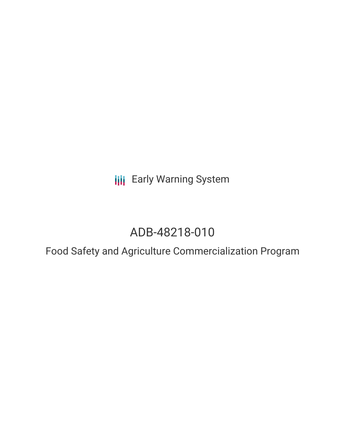**III** Early Warning System

# ADB-48218-010

Food Safety and Agriculture Commercialization Program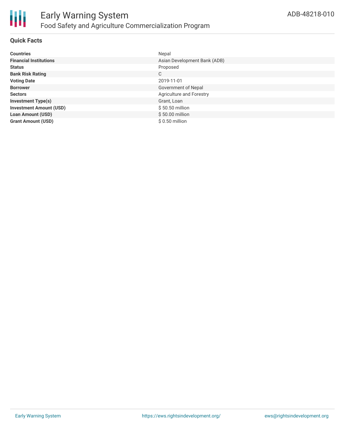

# **Quick Facts**

| <b>Countries</b>               | Nepal                        |
|--------------------------------|------------------------------|
| <b>Financial Institutions</b>  | Asian Development Bank (ADB) |
| <b>Status</b>                  | Proposed                     |
| <b>Bank Risk Rating</b>        | C                            |
| <b>Voting Date</b>             | 2019-11-01                   |
| <b>Borrower</b>                | Government of Nepal          |
| <b>Sectors</b>                 | Agriculture and Forestry     |
| <b>Investment Type(s)</b>      | Grant, Loan                  |
| <b>Investment Amount (USD)</b> | \$50.50 million              |
| <b>Loan Amount (USD)</b>       | $$50.00$ million             |
| <b>Grant Amount (USD)</b>      | \$0.50 million               |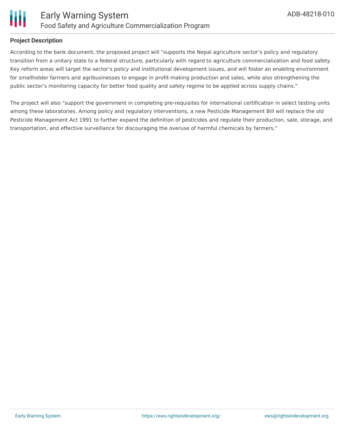

# **Project Description**

According to the bank document, the proposed project will "supports the Nepal agriculture sector's policy and regulatory transition from a unitary state to a federal structure, particularly with regard to agriculture commercialization and food safety. Key reform areas will target the sector's policy and institutional development issues, and will foster an enabling environment for smallholder farmers and agribusinesses to engage in profit-making production and sales, while also strengthening the public sector's monitoring capacity for better food quality and safety regime to be applied across supply chains."

The project will also "support the government in completing pre-requisites for international certification in select testing units among these laboratories. Among policy and regulatory interventions, a new Pesticide Management Bill will replace the old Pesticide Management Act 1991 to further expand the definition of pesticides and regulate their production, sale, storage, and transportation, and effective surveillance for discouraging the overuse of harmful chemicals by farmers."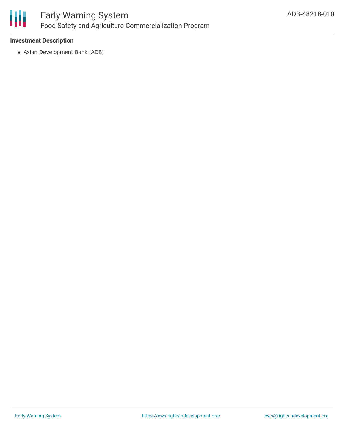

# **Investment Description**

Asian Development Bank (ADB)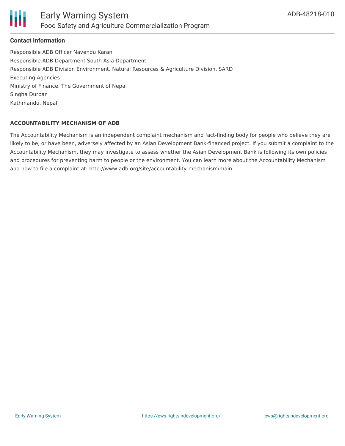

# **Contact Information**

Responsible ADB Officer Navendu Karan Responsible ADB Department South Asia Department Responsible ADB Division Environment, Natural Resources & Agriculture Division, SARD Executing Agencies Ministry of Finance, The Government of Nepal Singha Durbar Kathmandu, Nepal

#### **ACCOUNTABILITY MECHANISM OF ADB**

The Accountability Mechanism is an independent complaint mechanism and fact-finding body for people who believe they are likely to be, or have been, adversely affected by an Asian Development Bank-financed project. If you submit a complaint to the Accountability Mechanism, they may investigate to assess whether the Asian Development Bank is following its own policies and procedures for preventing harm to people or the environment. You can learn more about the Accountability Mechanism and how to file a complaint at: http://www.adb.org/site/accountability-mechanism/main